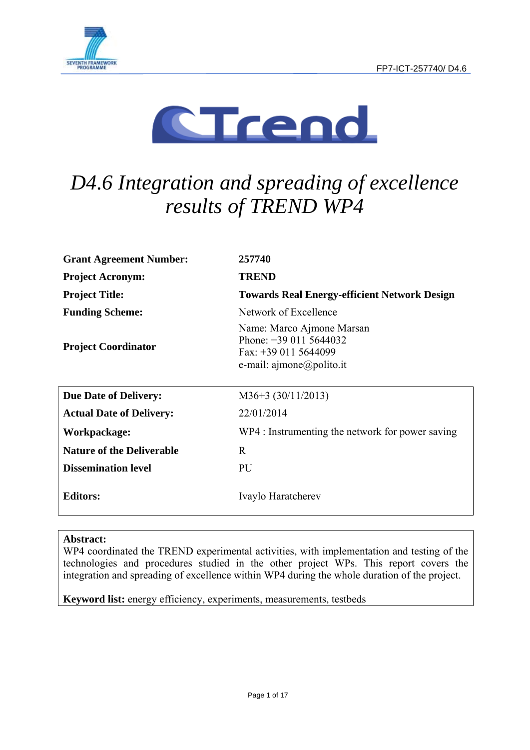



# *D4.6 Integration and spreading of excellence results of TREND WP4*

| <b>Grant Agreement Number:</b>   | 257740                                                                                                                              |
|----------------------------------|-------------------------------------------------------------------------------------------------------------------------------------|
| <b>Project Acronym:</b>          | <b>TREND</b>                                                                                                                        |
| <b>Project Title:</b>            | <b>Towards Real Energy-efficient Network Design</b>                                                                                 |
| <b>Funding Scheme:</b>           | Network of Excellence                                                                                                               |
| <b>Project Coordinator</b>       | Name: Marco Ajmone Marsan<br>Phone: $+390115644032$<br>Fax: $+390115644099$<br>e-mail: $\text{a}$ jmone $\textcircled{a}$ polito.it |
| <b>Due Date of Delivery:</b>     | $M36+3$ (30/11/2013)                                                                                                                |
| <b>Actual Date of Delivery:</b>  | 22/01/2014                                                                                                                          |
| Workpackage:                     | WP4 : Instrumenting the network for power saving                                                                                    |
| <b>Nature of the Deliverable</b> | R                                                                                                                                   |
| <b>Dissemination level</b>       | PU                                                                                                                                  |
| <b>Editors:</b>                  | Ivaylo Haratcherev                                                                                                                  |

### **Abstract:**

WP4 coordinated the TREND experimental activities, with implementation and testing of the technologies and procedures studied in the other project WPs. This report covers the integration and spreading of excellence within WP4 during the whole duration of the project.

**Keyword list:** energy efficiency, experiments, measurements, testbeds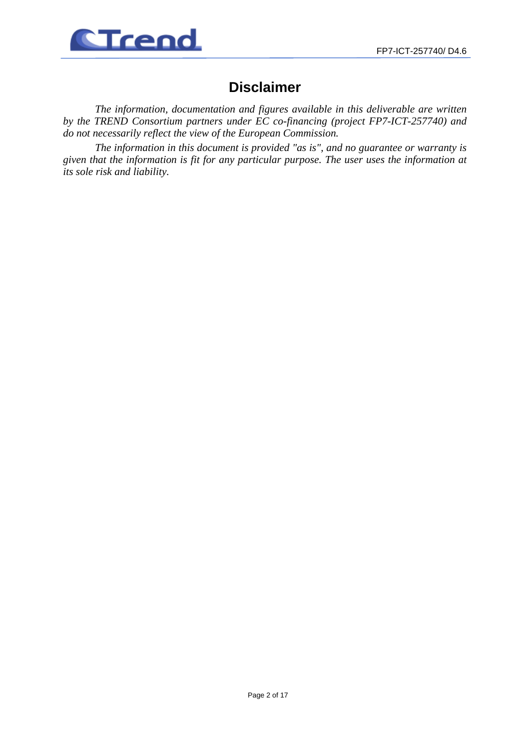

# **Disclaimer**

*The information, documentation and figures available in this deliverable are written by the TREND Consortium partners under EC co-financing (project FP7-ICT-257740) and do not necessarily reflect the view of the European Commission.* 

*The information in this document is provided "as is", and no guarantee or warranty is given that the information is fit for any particular purpose. The user uses the information at its sole risk and liability.*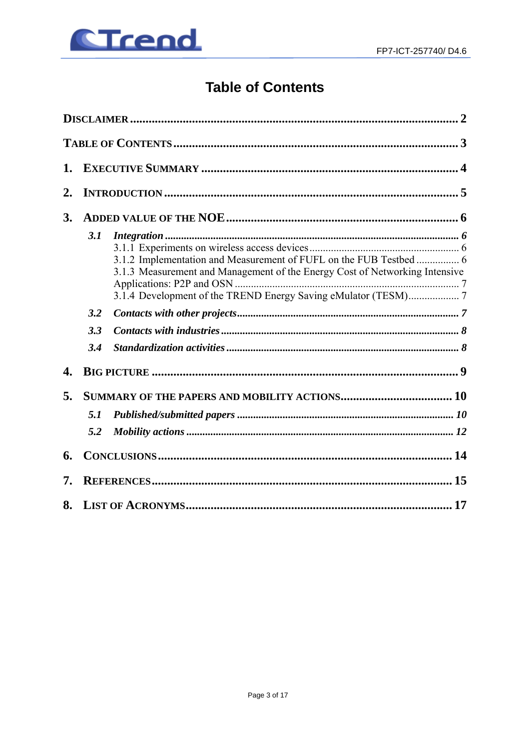

# **Table of Contents**

| 1.               |     |                                                                                                                                                   |  |
|------------------|-----|---------------------------------------------------------------------------------------------------------------------------------------------------|--|
| $\overline{2}$ . |     |                                                                                                                                                   |  |
| 3.               |     |                                                                                                                                                   |  |
|                  | 3.1 | 3.1.2 Implementation and Measurement of FUFL on the FUB Testbed  6<br>3.1.3 Measurement and Management of the Energy Cost of Networking Intensive |  |
|                  | 3.2 |                                                                                                                                                   |  |
|                  | 3.3 |                                                                                                                                                   |  |
|                  | 3.4 |                                                                                                                                                   |  |
| 4.               |     |                                                                                                                                                   |  |
| 5.               |     |                                                                                                                                                   |  |
|                  | 5.1 |                                                                                                                                                   |  |
|                  | 5.2 |                                                                                                                                                   |  |
| 6.               |     |                                                                                                                                                   |  |
| 7.               |     |                                                                                                                                                   |  |
| 8.               |     |                                                                                                                                                   |  |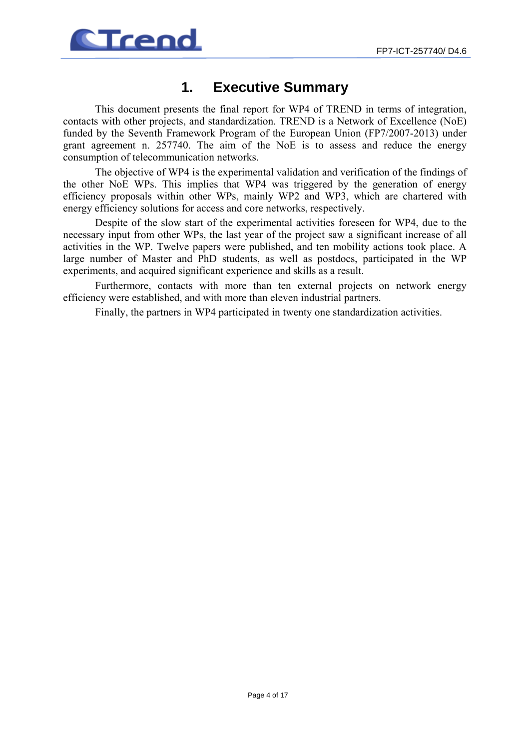

# **1. Executive Summary**

This document presents the final report for WP4 of TREND in terms of integration, contacts with other projects, and standardization. TREND is a Network of Excellence (NoE) funded by the Seventh Framework Program of the European Union (FP7/2007-2013) under grant agreement n. 257740. The aim of the NoE is to assess and reduce the energy consumption of telecommunication networks.

The objective of WP4 is the experimental validation and verification of the findings of the other NoE WPs. This implies that WP4 was triggered by the generation of energy efficiency proposals within other WPs, mainly WP2 and WP3, which are chartered with energy efficiency solutions for access and core networks, respectively.

Despite of the slow start of the experimental activities foreseen for WP4, due to the necessary input from other WPs, the last year of the project saw a significant increase of all activities in the WP. Twelve papers were published, and ten mobility actions took place. A large number of Master and PhD students, as well as postdocs, participated in the WP experiments, and acquired significant experience and skills as a result.

Furthermore, contacts with more than ten external projects on network energy efficiency were established, and with more than eleven industrial partners.

Finally, the partners in WP4 participated in twenty one standardization activities.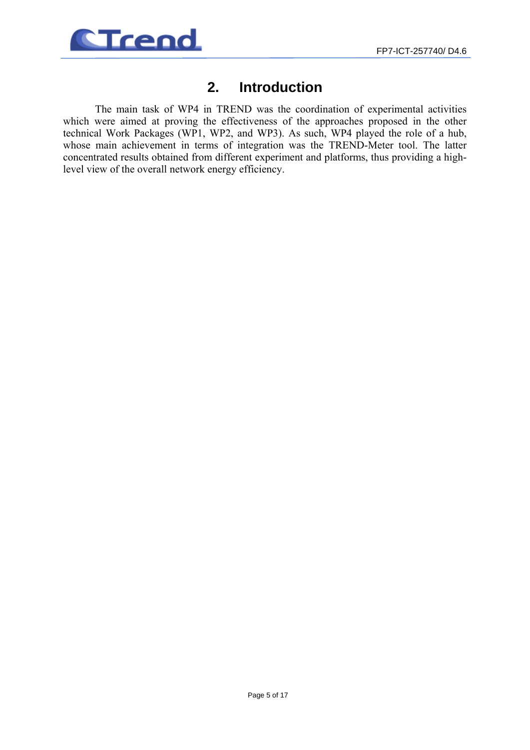

### **2. Introduction**

The main task of WP4 in TREND was the coordination of experimental activities which were aimed at proving the effectiveness of the approaches proposed in the other technical Work Packages (WP1, WP2, and WP3). As such, WP4 played the role of a hub, whose main achievement in terms of integration was the TREND-Meter tool. The latter concentrated results obtained from different experiment and platforms, thus providing a highlevel view of the overall network energy efficiency.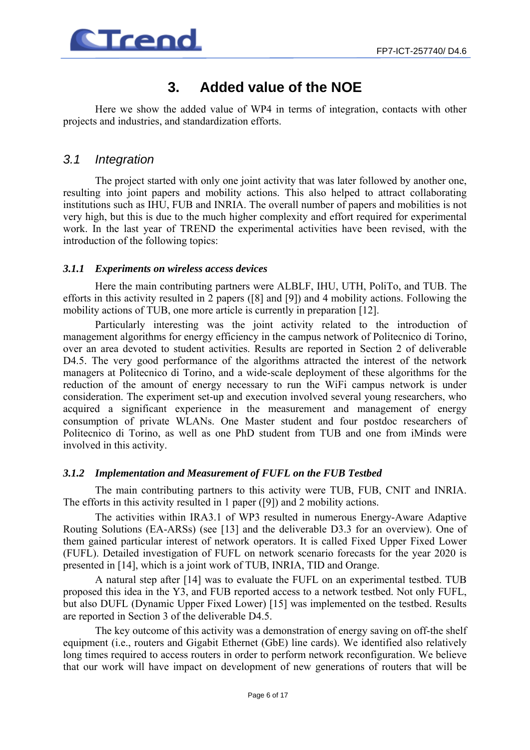

# **3. Added value of the NOE**

Here we show the added value of WP4 in terms of integration, contacts with other projects and industries, and standardization efforts.

### *3.1 Integration*

The project started with only one joint activity that was later followed by another one, resulting into joint papers and mobility actions. This also helped to attract collaborating institutions such as IHU, FUB and INRIA. The overall number of papers and mobilities is not very high, but this is due to the much higher complexity and effort required for experimental work. In the last year of TREND the experimental activities have been revised, with the introduction of the following topics:

### *3.1.1 Experiments on wireless access devices*

Here the main contributing partners were ALBLF, IHU, UTH, PoliTo, and TUB. The efforts in this activity resulted in 2 papers ([8] and [9]) and 4 mobility actions. Following the mobility actions of TUB, one more article is currently in preparation [12].

Particularly interesting was the joint activity related to the introduction of management algorithms for energy efficiency in the campus network of Politecnico di Torino, over an area devoted to student activities. Results are reported in Section 2 of deliverable D4.5. The very good performance of the algorithms attracted the interest of the network managers at Politecnico di Torino, and a wide-scale deployment of these algorithms for the reduction of the amount of energy necessary to run the WiFi campus network is under consideration. The experiment set-up and execution involved several young researchers, who acquired a significant experience in the measurement and management of energy consumption of private WLANs. One Master student and four postdoc researchers of Politecnico di Torino, as well as one PhD student from TUB and one from iMinds were involved in this activity.

### *3.1.2 Implementation and Measurement of FUFL on the FUB Testbed*

The main contributing partners to this activity were TUB, FUB, CNIT and INRIA. The efforts in this activity resulted in 1 paper ([9]) and 2 mobility actions.

The activities within IRA3.1 of WP3 resulted in numerous Energy-Aware Adaptive Routing Solutions (EA-ARSs) (see [13] and the deliverable D3.3 for an overview). One of them gained particular interest of network operators. It is called Fixed Upper Fixed Lower (FUFL). Detailed investigation of FUFL on network scenario forecasts for the year 2020 is presented in [14], which is a joint work of TUB, INRIA, TID and Orange.

A natural step after [14] was to evaluate the FUFL on an experimental testbed. TUB proposed this idea in the Y3, and FUB reported access to a network testbed. Not only FUFL, but also DUFL (Dynamic Upper Fixed Lower) [15] was implemented on the testbed. Results are reported in Section 3 of the deliverable D4.5.

The key outcome of this activity was a demonstration of energy saving on off-the shelf equipment (i.e., routers and Gigabit Ethernet (GbE) line cards). We identified also relatively long times required to access routers in order to perform network reconfiguration. We believe that our work will have impact on development of new generations of routers that will be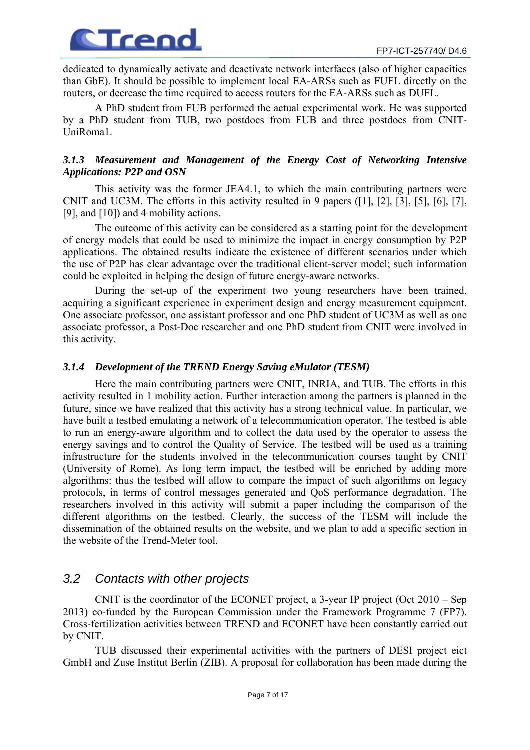

dedicated to dynamically activate and deactivate network interfaces (also of higher capacities than GbE). It should be possible to implement local EA-ARSs such as FUFL directly on the routers, or decrease the time required to access routers for the EA-ARSs such as DUFL.

A PhD student from FUB performed the actual experimental work. He was supported by a PhD student from TUB, two postdocs from FUB and three postdocs from CNIT-UniRoma1.

### *3.1.3 Measurement and Management of the Energy Cost of Networking Intensive Applications: P2P and OSN*

This activity was the former JEA4.1, to which the main contributing partners were CNIT and UC3M. The efforts in this activity resulted in 9 papers ([1], [2], [3], [5], [6], [7], [9], and [10]) and 4 mobility actions.

The outcome of this activity can be considered as a starting point for the development of energy models that could be used to minimize the impact in energy consumption by P2P applications. The obtained results indicate the existence of different scenarios under which the use of P2P has clear advantage over the traditional client-server model; such information could be exploited in helping the design of future energy-aware networks.

During the set-up of the experiment two young researchers have been trained, acquiring a significant experience in experiment design and energy measurement equipment. One associate professor, one assistant professor and one PhD student of UC3M as well as one associate professor, a Post-Doc researcher and one PhD student from CNIT were involved in this activity.

### *3.1.4 Development of the TREND Energy Saving eMulator (TESM)*

Here the main contributing partners were CNIT, INRIA, and TUB. The efforts in this activity resulted in 1 mobility action. Further interaction among the partners is planned in the future, since we have realized that this activity has a strong technical value. In particular, we have built a testbed emulating a network of a telecommunication operator. The testbed is able to run an energy-aware algorithm and to collect the data used by the operator to assess the energy savings and to control the Quality of Service. The testbed will be used as a training infrastructure for the students involved in the telecommunication courses taught by CNIT (University of Rome). As long term impact, the testbed will be enriched by adding more algorithms: thus the testbed will allow to compare the impact of such algorithms on legacy protocols, in terms of control messages generated and QoS performance degradation. The researchers involved in this activity will submit a paper including the comparison of the different algorithms on the testbed. Clearly, the success of the TESM will include the dissemination of the obtained results on the website, and we plan to add a specific section in the website of the Trend-Meter tool.

### *3.2 Contacts with other projects*

CNIT is the coordinator of the ECONET project, a 3-year IP project (Oct 2010 – Sep 2013) co-funded by the European Commission under the Framework Programme 7 (FP7). Cross-fertilization activities between TREND and ECONET have been constantly carried out by CNIT.

TUB discussed their experimental activities with the partners of DESI project eict GmbH and Zuse Institut Berlin (ZIB). A proposal for collaboration has been made during the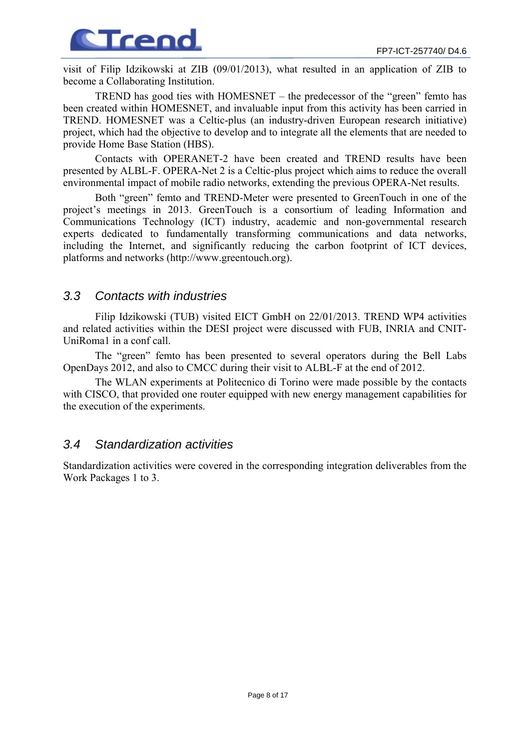

visit of Filip Idzikowski at ZIB (09/01/2013), what resulted in an application of ZIB to become a Collaborating Institution.

TREND has good ties with HOMESNET – the predecessor of the "green" femto has been created within HOMESNET, and invaluable input from this activity has been carried in TREND. HOMESNET was a Celtic-plus (an industry-driven European research initiative) project, which had the objective to develop and to integrate all the elements that are needed to provide Home Base Station (HBS).

Contacts with OPERANET-2 have been created and TREND results have been presented by ALBL-F. OPERA-Net 2 is a Celtic-plus project which aims to reduce the overall environmental impact of mobile radio networks, extending the previous OPERA-Net results.

Both "green" femto and TREND-Meter were presented to GreenTouch in one of the project's meetings in 2013. GreenTouch is a consortium of leading Information and Communications Technology (ICT) industry, academic and non-governmental research experts dedicated to fundamentally transforming communications and data networks, including the Internet, and significantly reducing the carbon footprint of ICT devices, platforms and networks (http://www.greentouch.org).

### *3.3 Contacts with industries*

Filip Idzikowski (TUB) visited EICT GmbH on 22/01/2013. TREND WP4 activities and related activities within the DESI project were discussed with FUB, INRIA and CNIT-UniRoma1 in a conf call.

The "green" femto has been presented to several operators during the Bell Labs OpenDays 2012, and also to CMCC during their visit to ALBL-F at the end of 2012.

The WLAN experiments at Politecnico di Torino were made possible by the contacts with CISCO, that provided one router equipped with new energy management capabilities for the execution of the experiments.

### *3.4 Standardization activities*

Standardization activities were covered in the corresponding integration deliverables from the Work Packages 1 to 3.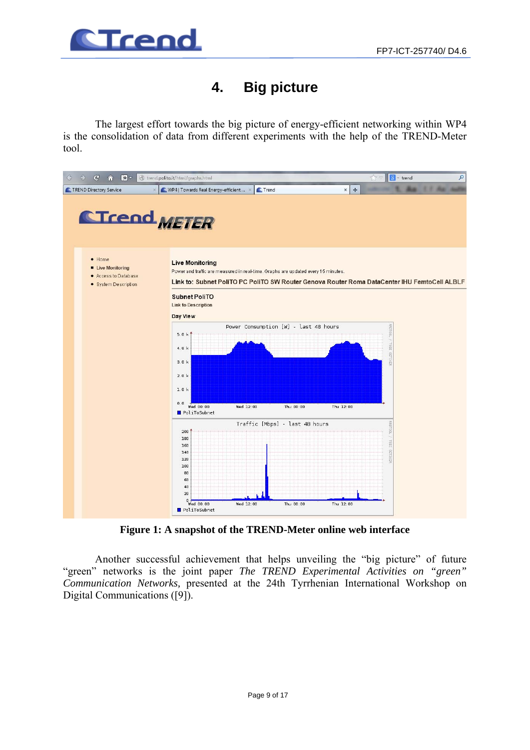

# **4. Big picture**

The largest effort towards the big picture of energy-efficient networking within WP4 is the consolidation of data from different experiments with the help of the TREND-Meter tool.



**Figure 1: A snapshot of the TREND-Meter online web interface** 

Another successful achievement that helps unveiling the "big picture" of future "green" networks is the joint paper *The TREND Experimental Activities on "green" Communication Networks,* presented at the 24th Tyrrhenian International Workshop on Digital Communications ([9]).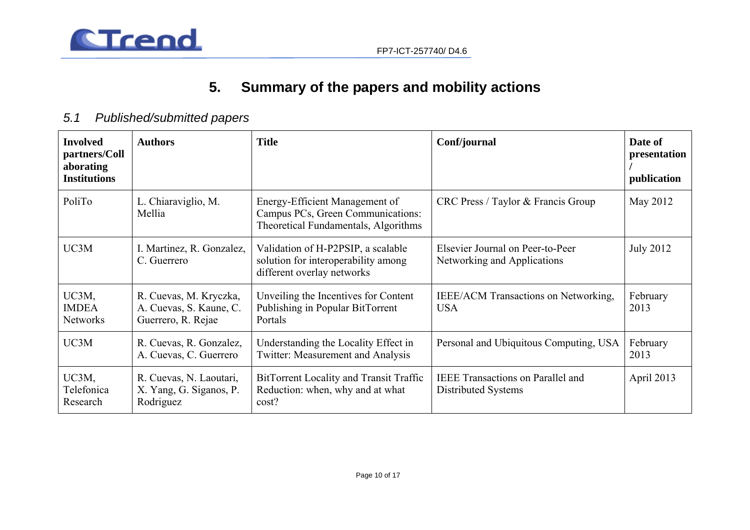



# **5. Summary of the papers and mobility actions**

# *5.1 Published/submitted papers*

| <b>Involved</b><br>partners/Coll<br>aborating<br><b>Institutions</b> | <b>Authors</b>                                                                                                                                                                                                              | <b>Title</b>                                                                                                | Conf/journal                                                                        | Date of<br>presentation<br>publication |
|----------------------------------------------------------------------|-----------------------------------------------------------------------------------------------------------------------------------------------------------------------------------------------------------------------------|-------------------------------------------------------------------------------------------------------------|-------------------------------------------------------------------------------------|----------------------------------------|
| PoliTo                                                               | L. Chiaraviglio, M.<br>Mellia                                                                                                                                                                                               | Energy-Efficient Management of<br>Campus PCs, Green Communications:<br>Theoretical Fundamentals, Algorithms | CRC Press / Taylor & Francis Group                                                  | May 2012                               |
| UC3M                                                                 | I. Martinez, R. Gonzalez,<br>C. Guerrero                                                                                                                                                                                    | Validation of H-P2PSIP, a scalable<br>solution for interoperability among<br>different overlay networks     | <b>July 2012</b><br>Elsevier Journal on Peer-to-Peer<br>Networking and Applications |                                        |
| UC3M,<br><b>IMDEA</b><br><b>Networks</b>                             | Unveiling the Incentives for Content<br>R. Cuevas, M. Kryczka,<br><b>IEEE/ACM Transactions on Networking,</b><br>Publishing in Popular BitTorrent<br>A. Cuevas, S. Kaune, C.<br><b>USA</b><br>Guerrero, R. Rejae<br>Portals |                                                                                                             | February<br>2013                                                                    |                                        |
| UC3M                                                                 | R. Cuevas, R. Gonzalez,<br>A. Cuevas, C. Guerrero                                                                                                                                                                           | Understanding the Locality Effect in<br>Twitter: Measurement and Analysis                                   | Personal and Ubiquitous Computing, USA                                              |                                        |
| UC3M,<br>Telefonica<br>Research                                      | R. Cuevas, N. Laoutari,<br>X. Yang, G. Siganos, P.<br>Rodriguez                                                                                                                                                             | BitTorrent Locality and Transit Traffic<br>Reduction: when, why and at what<br>cost?                        | April 2013<br><b>IEEE</b> Transactions on Parallel and<br>Distributed Systems       |                                        |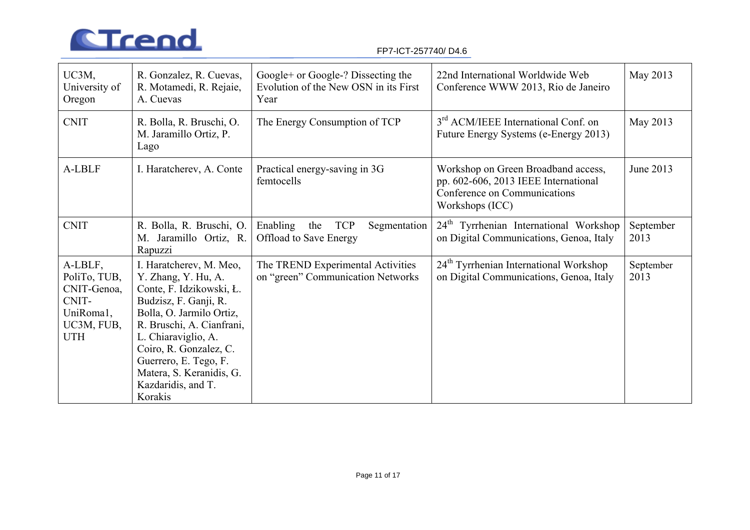

#### FP7-ICT-257740/ D4.6

| UC3M,<br>University of<br>Oregon                                                         | R. Gonzalez, R. Cuevas,<br>R. Motamedi, R. Rejaie,<br>A. Cuevas                                                                                                                                                                                                                                     | Google+ or Google-? Dissecting the<br>Evolution of the New OSN in its First<br>Year | 22nd International Worldwide Web<br>Conference WWW 2013, Rio de Janeiro                                                        | May 2013          |
|------------------------------------------------------------------------------------------|-----------------------------------------------------------------------------------------------------------------------------------------------------------------------------------------------------------------------------------------------------------------------------------------------------|-------------------------------------------------------------------------------------|--------------------------------------------------------------------------------------------------------------------------------|-------------------|
| <b>CNIT</b>                                                                              | R. Bolla, R. Bruschi, O.<br>M. Jaramillo Ortiz, P.<br>Lago                                                                                                                                                                                                                                          | The Energy Consumption of TCP                                                       | 3 <sup>rd</sup> ACM/IEEE International Conf. on<br>Future Energy Systems (e-Energy 2013)                                       | May 2013          |
| A-LBLF                                                                                   | I. Haratcherev, A. Conte                                                                                                                                                                                                                                                                            | Practical energy-saving in 3G<br>femtocells                                         | Workshop on Green Broadband access,<br>pp. 602-606, 2013 IEEE International<br>Conference on Communications<br>Workshops (ICC) | June 2013         |
| <b>CNIT</b>                                                                              | R. Bolla, R. Bruschi, O.<br>M. Jaramillo Ortiz, R.<br>Rapuzzi                                                                                                                                                                                                                                       | <b>TCP</b><br>Enabling<br>the<br>Segmentation<br><b>Offload to Save Energy</b>      | 24 <sup>th</sup> Tyrrhenian International Workshop<br>on Digital Communications, Genoa, Italy                                  | September<br>2013 |
| A-LBLF,<br>PoliTo, TUB,<br>CNIT-Genoa,<br>CNIT-<br>UniRoma1,<br>UC3M, FUB,<br><b>UTH</b> | I. Haratcherev, M. Meo,<br>Y. Zhang, Y. Hu, A.<br>Conte, F. Idzikowski, Ł.<br>Budzisz, F. Ganji, R.<br>Bolla, O. Jarmilo Ortiz,<br>R. Bruschi, A. Cianfrani,<br>L. Chiaraviglio, A.<br>Coiro, R. Gonzalez, C.<br>Guerrero, E. Tego, F.<br>Matera, S. Keranidis, G.<br>Kazdaridis, and T.<br>Korakis | The TREND Experimental Activities<br>on "green" Communication Networks              | 24 <sup>th</sup> Tyrrhenian International Workshop<br>on Digital Communications, Genoa, Italy                                  | September<br>2013 |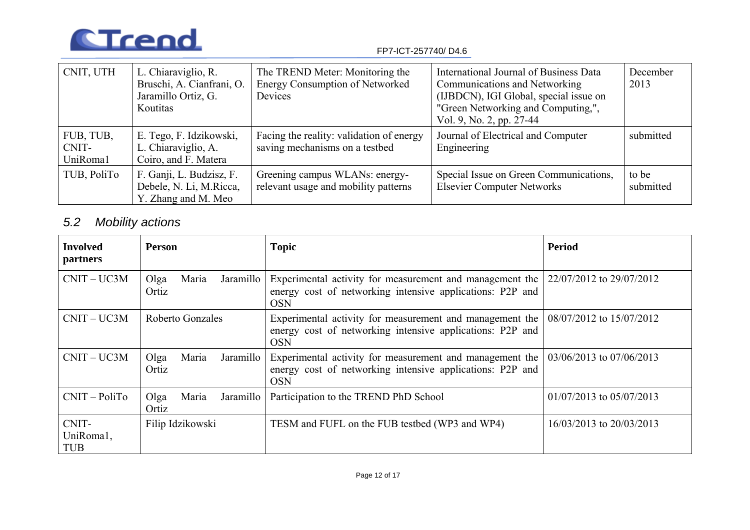

#### FP7-ICT-257740/ D4.6

| CNIT, UTH                      | L. Chiaraviglio, R.<br>Bruschi, A. Cianfrani, O.<br>Jaramillo Ortiz, G.<br>Koutitas | The TREND Meter: Monitoring the<br><b>Energy Consumption of Networked</b><br>Devices | International Journal of Business Data<br>Communications and Networking<br>(IJBDCN), IGI Global, special issue on<br>"Green Networking and Computing,",<br>Vol. 9, No. 2, pp. 27-44 | December<br>2013   |
|--------------------------------|-------------------------------------------------------------------------------------|--------------------------------------------------------------------------------------|-------------------------------------------------------------------------------------------------------------------------------------------------------------------------------------|--------------------|
| FUB, TUB,<br>CNIT-<br>UniRoma1 | E. Tego, F. Idzikowski,<br>L. Chiaraviglio, A.<br>Coiro, and F. Matera              | Facing the reality: validation of energy<br>saving mechanisms on a testbed           | Journal of Electrical and Computer<br>Engineering                                                                                                                                   | submitted          |
| TUB, PoliTo                    | F. Ganji, L. Budzisz, F.<br>Debele, N. Li, M.Ricca,<br>Y. Zhang and M. Meo          | Greening campus WLANs: energy-<br>relevant usage and mobility patterns               | Special Issue on Green Communications,<br><b>Elsevier Computer Networks</b>                                                                                                         | to be<br>submitted |

# *5.2 Mobility actions*

| <b>Involved</b><br>partners      | <b>Person</b>                          | <b>Topic</b>                                                                                                                        | <b>Period</b>            |
|----------------------------------|----------------------------------------|-------------------------------------------------------------------------------------------------------------------------------------|--------------------------|
| $CNIT-UC3M$                      | Jaramillo<br>Olga<br>Maria<br>Ortiz    | Experimental activity for measurement and management the<br>energy cost of networking intensive applications: P2P and<br><b>OSN</b> | 22/07/2012 to 29/07/2012 |
| $CNIT-UC3M$                      | Roberto Gonzales                       | Experimental activity for measurement and management the<br>energy cost of networking intensive applications: P2P and<br><b>OSN</b> | 08/07/2012 to 15/07/2012 |
| $CNIT-UC3M$                      | $O$ lga<br>Maria<br>Jaramillo<br>Ortiz | Experimental activity for measurement and management the<br>energy cost of networking intensive applications: P2P and<br><b>OSN</b> | 03/06/2013 to 07/06/2013 |
| $CNIT-PoliTo$                    | Jaramillo<br>$O$ lga<br>Maria<br>Ortiz | Participation to the TREND PhD School                                                                                               | 01/07/2013 to 05/07/2013 |
| CNIT-<br>UniRoma1,<br><b>TUB</b> | Filip Idzikowski                       | TESM and FUFL on the FUB testbed (WP3 and WP4)                                                                                      | 16/03/2013 to 20/03/2013 |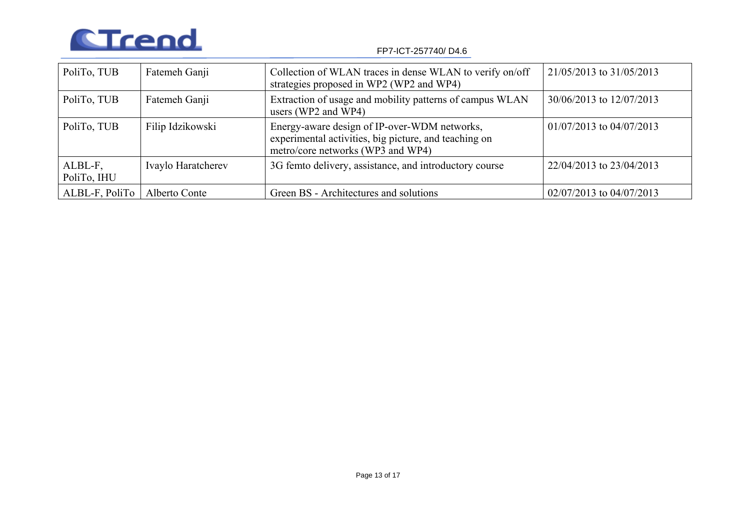

FP7-ICT-257740/ D4.6

| PoliTo, TUB            | Fatemeh Ganji      | Collection of WLAN traces in dense WLAN to verify on/off<br>strategies proposed in WP2 (WP2 and WP4)                                       | 21/05/2013 to 31/05/2013     |
|------------------------|--------------------|--------------------------------------------------------------------------------------------------------------------------------------------|------------------------------|
| PoliTo, TUB            | Fatemeh Ganji      | Extraction of usage and mobility patterns of campus WLAN<br>users (WP2 and WP4)                                                            | 30/06/2013 to 12/07/2013     |
| PoliTo, TUB            | Filip Idzikowski   | Energy-aware design of IP-over-WDM networks,<br>experimental activities, big picture, and teaching on<br>metro/core networks (WP3 and WP4) | $01/07/2013$ to $04/07/2013$ |
| ALBL-F,<br>PoliTo, IHU | Ivaylo Haratcherev | 3G femto delivery, assistance, and introductory course                                                                                     | 22/04/2013 to 23/04/2013     |
| ALBL-F, PoliTo         | Alberto Conte      | Green BS - Architectures and solutions                                                                                                     | 02/07/2013 to 04/07/2013     |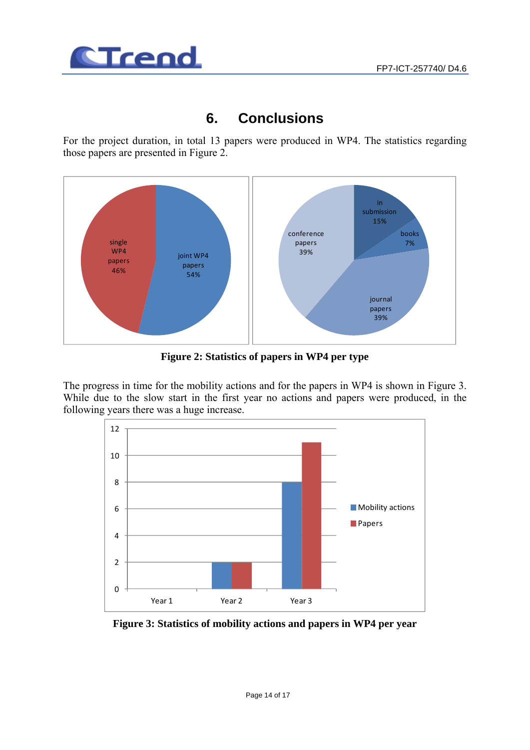

# **6. Conclusions**

For the project duration, in total 13 papers were produced in WP4. The statistics regarding those papers are presented in Figure 2.



**Figure 2: Statistics of papers in WP4 per type** 

The progress in time for the mobility actions and for the papers in WP4 is shown in Figure 3. While due to the slow start in the first year no actions and papers were produced, in the following years there was a huge increase.



**Figure 3: Statistics of mobility actions and papers in WP4 per year**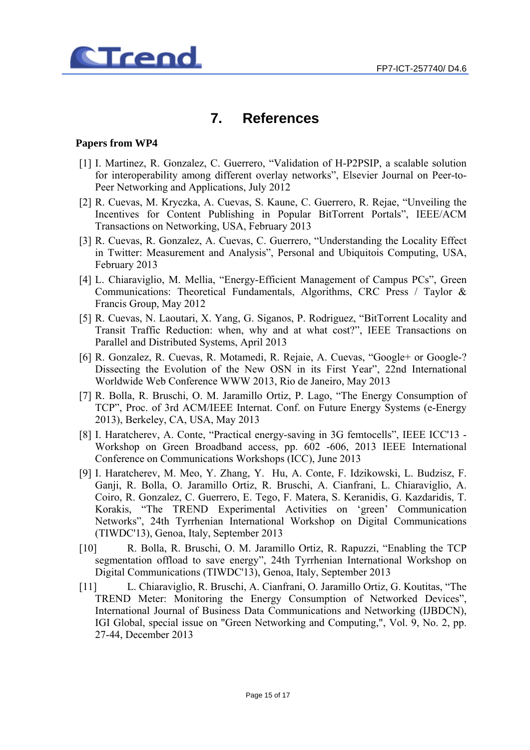

# **7. References**

#### **Papers from WP4**

- [1] I. Martinez, R. Gonzalez, C. Guerrero, "Validation of H-P2PSIP, a scalable solution for interoperability among different overlay networks", Elsevier Journal on Peer-to-Peer Networking and Applications, July 2012
- [2] R. Cuevas, M. Kryczka, A. Cuevas, S. Kaune, C. Guerrero, R. Rejae, "Unveiling the Incentives for Content Publishing in Popular BitTorrent Portals", IEEE/ACM Transactions on Networking, USA, February 2013
- [3] R. Cuevas, R. Gonzalez, A. Cuevas, C. Guerrero, "Understanding the Locality Effect in Twitter: Measurement and Analysis", Personal and Ubiquitois Computing, USA, February 2013
- [4] L. Chiaraviglio, M. Mellia, "Energy-Efficient Management of Campus PCs", Green Communications: Theoretical Fundamentals, Algorithms, CRC Press / Taylor & Francis Group, May 2012
- [5] R. Cuevas, N. Laoutari, X. Yang, G. Siganos, P. Rodriguez, "BitTorrent Locality and Transit Traffic Reduction: when, why and at what cost?", IEEE Transactions on Parallel and Distributed Systems, April 2013
- [6] R. Gonzalez, R. Cuevas, R. Motamedi, R. Rejaie, A. Cuevas, "Google+ or Google-? Dissecting the Evolution of the New OSN in its First Year", 22nd International Worldwide Web Conference WWW 2013, Rio de Janeiro, May 2013
- [7] R. Bolla, R. Bruschi, O. M. Jaramillo Ortiz, P. Lago, "The Energy Consumption of TCP", Proc. of 3rd ACM/IEEE Internat. Conf. on Future Energy Systems (e-Energy 2013), Berkeley, CA, USA, May 2013
- [8] I. Haratcherev, A. Conte, "Practical energy-saving in 3G femtocells", IEEE ICC'13 -Workshop on Green Broadband access, pp. 602 -606, 2013 IEEE International Conference on Communications Workshops (ICC), June 2013
- [9] I. Haratcherev, M. Meo, Y. Zhang, Y. Hu, A. Conte, F. Idzikowski, L. Budzisz, F. Ganji, R. Bolla, O. Jaramillo Ortiz, R. Bruschi, A. Cianfrani, L. Chiaraviglio, A. Coiro, R. Gonzalez, C. Guerrero, E. Tego, F. Matera, S. Keranidis, G. Kazdaridis, T. Korakis, "The TREND Experimental Activities on 'green' Communication Networks", 24th Tyrrhenian International Workshop on Digital Communications (TIWDC'13), Genoa, Italy, September 2013
- [10] R. Bolla, R. Bruschi, O. M. Jaramillo Ortiz, R. Rapuzzi, "Enabling the TCP segmentation offload to save energy", 24th Tyrrhenian International Workshop on Digital Communications (TIWDC'13), Genoa, Italy, September 2013
- [11] L. Chiaraviglio, R. Bruschi, A. Cianfrani, O. Jaramillo Ortiz, G. Koutitas, "The TREND Meter: Monitoring the Energy Consumption of Networked Devices", International Journal of Business Data Communications and Networking (IJBDCN), IGI Global, special issue on "Green Networking and Computing,", Vol. 9, No. 2, pp. 27-44, December 2013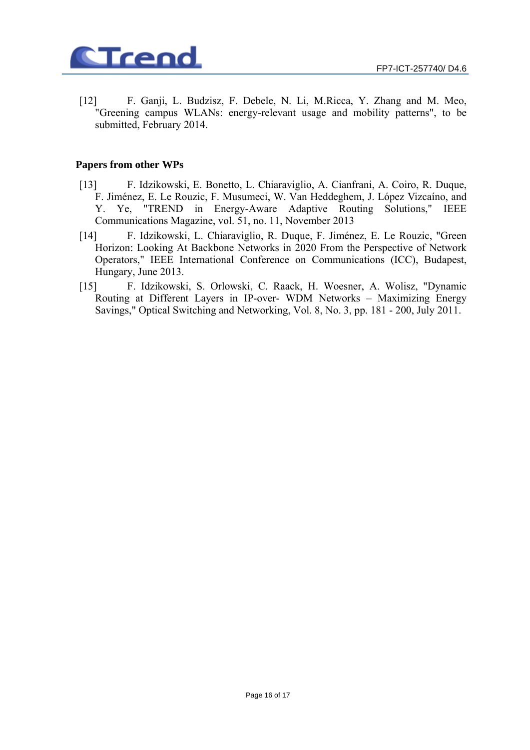

[12] F. Ganji, L. Budzisz, F. Debele, N. Li, M.Ricca, Y. Zhang and M. Meo, "Greening campus WLANs: energy-relevant usage and mobility patterns", to be submitted, February 2014.

#### **Papers from other WPs**

- [13] F. Idzikowski, E. Bonetto, L. Chiaraviglio, A. Cianfrani, A. Coiro, R. Duque, F. Jiménez, E. Le Rouzic, F. Musumeci, W. Van Heddeghem, J. López Vizcaíno, and Y. Ye, "TREND in Energy-Aware Adaptive Routing Solutions," IEEE Communications Magazine, vol. 51, no. 11, November 2013
- [14] F. Idzikowski, L. Chiaraviglio, R. Duque, F. Jiménez, E. Le Rouzic, "Green Horizon: Looking At Backbone Networks in 2020 From the Perspective of Network Operators," IEEE International Conference on Communications (ICC), Budapest, Hungary, June 2013.
- [15] F. Idzikowski, S. Orlowski, C. Raack, H. Woesner, A. Wolisz, "Dynamic Routing at Different Layers in IP-over- WDM Networks – Maximizing Energy Savings," Optical Switching and Networking, Vol. 8, No. 3, pp. 181 - 200, July 2011.